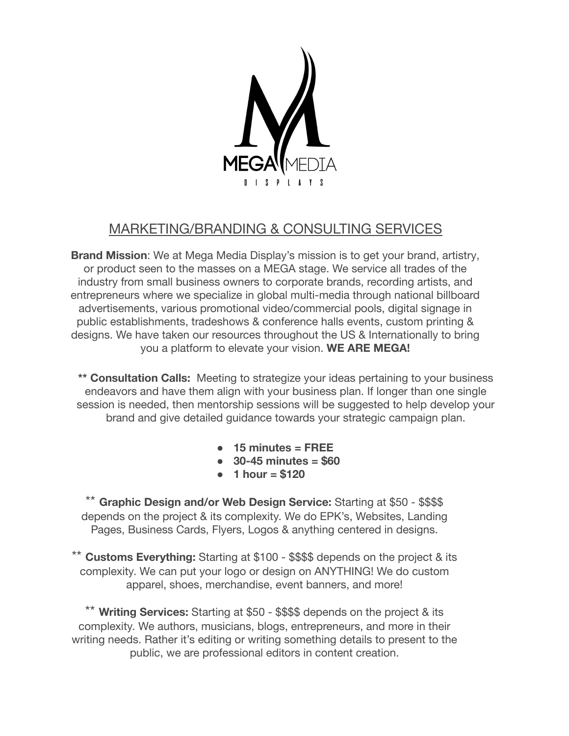

# MARKETING/BRANDING & CONSULTING SERVICES

**Brand Mission**: We at Mega Media Display's mission is to get your brand, artistry, or product seen to the masses on a MEGA stage. We service all trades of the industry from small business owners to corporate brands, recording artists, and entrepreneurs where we specialize in global multi-media through national billboard advertisements, various promotional video/commercial pools, digital signage in public establishments, tradeshows & conference halls events, custom printing & designs. We have taken our resources throughout the US & Internationally to bring you a platform to elevate your vision. **WE ARE MEGA!**

**\*\* Consultation Calls:** Meeting to strategize your ideas pertaining to your business endeavors and have them align with your business plan. If longer than one single session is needed, then mentorship sessions will be suggested to help develop your brand and give detailed guidance towards your strategic campaign plan.

- **● 15 minutes = FREE**
- **● 30-45 minutes = \$60**
- **● 1 hour = \$120**

**Graphic Design and/or Web Design Service:** Starting at \$50 - \$\$\$\$ depends on the project & its complexity. We do EPK's, Websites, Landing Pages, Business Cards, Flyers, Logos & anything centered in designs.

\*\* **Customs Everything:** Starting at \$100 - \$\$\$\$ depends on the project & its complexity. We can put your logo or design on ANYTHING! We do custom apparel, shoes, merchandise, event banners, and more!

\*\* **Writing Services:** Starting at \$50 - \$\$\$\$ depends on the project & its complexity. We authors, musicians, blogs, entrepreneurs, and more in their writing needs. Rather it's editing or writing something details to present to the public, we are professional editors in content creation.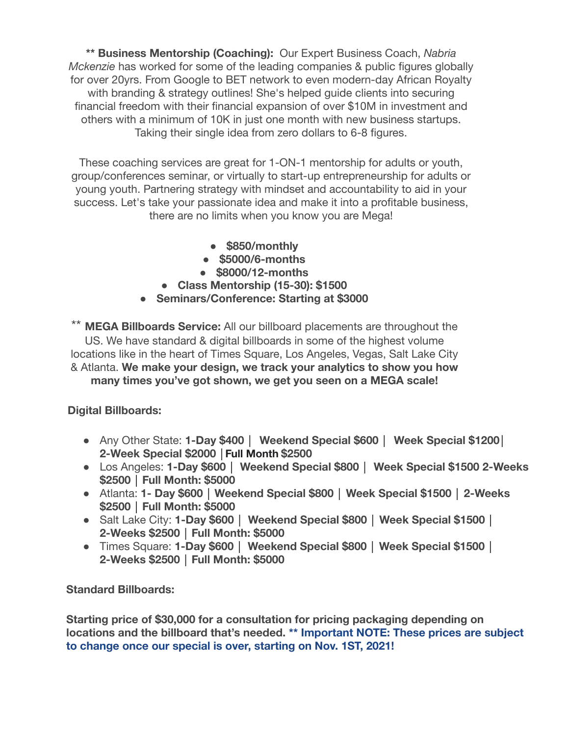**\*\* Business Mentorship (Coaching):** Our Expert Business Coach, *Nabria Mckenzie* has worked for some of the leading companies & public figures globally for over 20yrs. From Google to BET network to even modern-day African Royalty with branding & strategy outlines! She's helped quide clients into securing financial freedom with their financial expansion of over \$10M in investment and others with a minimum of 10K in just one month with new business startups. Taking their single idea from zero dollars to 6-8 figures.

These coaching services are great for 1-ON-1 mentorship for adults or youth, group/conferences seminar, or virtually to start-up entrepreneurship for adults or young youth. Partnering strategy with mindset and accountability to aid in your success. Let's take your passionate idea and make it into a profitable business, there are no limits when you know you are Mega!

- **● \$850/monthly**
- **● \$5000/6-months**
- **● \$8000/12-months**
- **● Class Mentorship (15-30): \$1500**
- **● Seminars/Conference: Starting at \$3000**

\*\* **MEGA Billboards Service:** All our billboard placements are throughout the US. We have standard & digital billboards in some of the highest volume locations like in the heart of Times Square, Los Angeles, Vegas, Salt Lake City & Atlanta. **We make your design, we track your analytics to show you how many times you've got shown, we get you seen on a MEGA scale!**

**Digital Billboards:**

- Any Other State: **1-Day \$400 │ Weekend Special \$600 │ Week Special \$1200│ 2-Week Special \$2000 │Full Month \$2500**
- Los Angeles: **1-Day \$600 │ Weekend Special \$800 │ Week Special \$1500 2-Weeks \$2500 │ Full Month: \$5000**
- Atlanta: **1- Day \$600 │ Weekend Special \$800 │ Week Special \$1500 │ 2-Weeks \$2500 │ Full Month: \$5000**
- Salt Lake City: **1-Day \$600** │ **Weekend Special \$800 │ Week Special \$1500 │ 2-Weeks \$2500 │ Full Month: \$5000**
- Times Square: **1-Day \$600** │ **Weekend Special \$800 │ Week Special \$1500 │ 2-Weeks \$2500 │ Full Month: \$5000**

**Standard Billboards:**

**Starting price of \$30,000 for a consultation for pricing packaging depending on locations and the billboard that's needed. \*\* Important NOTE: These prices are subject to change once our special is over, starting on Nov. 1ST, 2021!**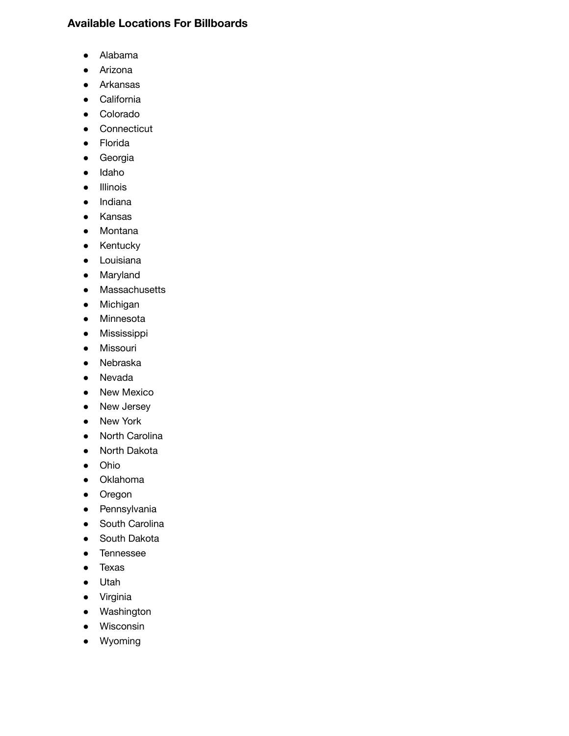### **Available Locations For Billboards**

- [Alabama](https://www.blipbillboards.com/billboard-locations/alabama/)
- [Arizona](https://www.blipbillboards.com/billboard-locations/arizona/)
- [Arkansas](https://www.blipbillboards.com/billboard-locations/arkansas/)
- [California](https://www.blipbillboards.com/billboard-locations/california/)
- [Colorado](https://www.blipbillboards.com/billboard-locations/colorado/)
- [Connecticut](https://www.blipbillboards.com/billboard-locations/connecticut/)
- [Florida](https://www.blipbillboards.com/billboard-locations/florida/)
- [Georgia](https://www.blipbillboards.com/billboard-locations/georgia/)
- [Idaho](https://www.blipbillboards.com/billboard-locations/idaho/)
- [Illinois](https://www.blipbillboards.com/billboard-locations/illinois/)
- [Indiana](https://www.blipbillboards.com/billboard-locations/indiana/)
- [Kansas](https://www.blipbillboards.com/billboard-locations/kansas/)
- [Montana](https://www.blipbillboards.com/billboard-locations/montana/)
- [Kentucky](https://www.blipbillboards.com/billboard-locations/kentucky/)
- [Louisiana](https://www.blipbillboards.com/billboard-locations/louisiana/)
- [Maryland](https://www.blipbillboards.com/billboard-locations/maryland/)
- [Massachusetts](https://www.blipbillboards.com/billboard-locations/massachusetts/)
- [Michigan](https://www.blipbillboards.com/billboard-locations/michigan/)
- [Minnesota](https://www.blipbillboards.com/billboard-locations/minnesota/)
- [Mississippi](https://www.blipbillboards.com/billboard-locations/mississippi/)
- [Missouri](https://www.blipbillboards.com/billboard-locations/missouri/)
- [Nebraska](https://www.blipbillboards.com/billboard-locations/nebraska/)
- [Nevada](https://www.blipbillboards.com/billboard-locations/nevada/)
- [New Mexico](https://www.blipbillboards.com/billboard-locations/new-mexico/)
- [New Jersey](https://www.blipbillboards.com/billboard-locations/new-jersey/)
- [New York](https://www.blipbillboards.com/billboard-locations/new-york/)
- [North Carolina](https://www.blipbillboards.com/billboard-locations/north-carolina/)
- [North Dakota](https://www.blipbillboards.com/billboard-locations/north-dakota/)
- [Ohio](https://www.blipbillboards.com/billboard-locations/ohio/)
- [Oklahoma](https://www.blipbillboards.com/billboard-locations/oklahoma/)
- [Oregon](https://www.blipbillboards.com/billboard-locations/oregon/)
- [Pennsylvania](https://www.blipbillboards.com/billboard-locations/pennsylvania/)
- [South Carolina](https://www.blipbillboards.com/billboard-locations/south-carolina/)
- [South Dakota](https://www.blipbillboards.com/billboard-locations/south-dakota/)
- [Tennessee](https://www.blipbillboards.com/billboard-locations/tennessee/)
- [Texas](https://www.blipbillboards.com/billboard-locations/texas/)
- [Utah](https://www.blipbillboards.com/billboard-locations/utah/)
- [Virginia](https://www.blipbillboards.com/billboard-locations/virginia/)
- [Washington](https://www.blipbillboards.com/billboard-locations/washington/)
- [Wisconsin](https://www.blipbillboards.com/billboard-locations/wisconsin/)
- [Wyoming](https://www.blipbillboards.com/billboard-locations/wyoming/)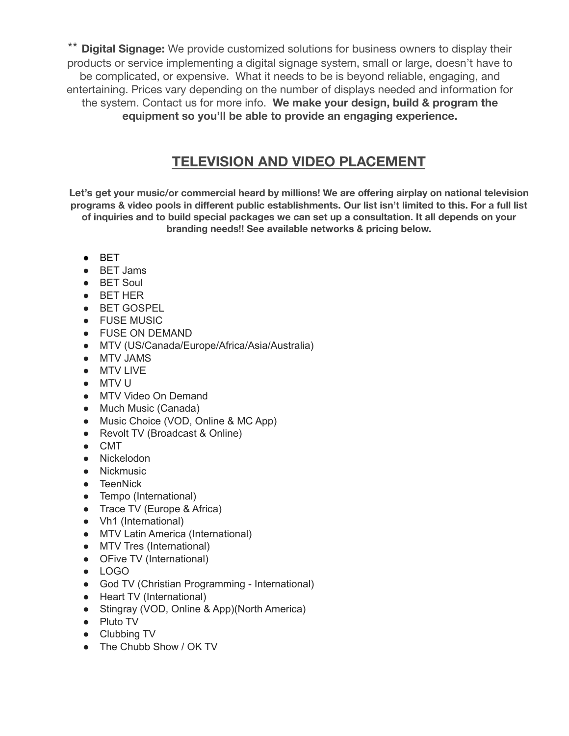Digital Signage: We provide customized solutions for business owners to display their products or service implementing a digital signage system, small or large, doesn't have to be complicated, or expensive. What it needs to be is beyond reliable, engaging, and entertaining. Prices vary depending on the number of displays needed and information for the system. Contact us for more info. **We make your design, build & program the equipment so you'll be able to provide an engaging experience.**

# **TELEVISION AND VIDEO PLACEMENT**

**Let's get your music/or commercial heard by millions! We are offering airplay on national television programs & video pools in different public establishments. Our list isn't limited to this. For a full list of inquiries and to build special packages we can set up a consultation. It all depends on your branding needs!! See available networks & pricing below.**

- BET
- BET Jams
- BET Soul
- BET HER
- BET GOSPEL
- FUSE MUSIC
- FUSE ON DEMAND
- MTV (US/Canada/Europe/Africa/Asia/Australia)
- MTV JAMS
- MTV LIVE
- MTV U
- MTV Video On Demand
- Much Music (Canada)
- Music Choice (VOD, Online & MC App)
- Revolt TV (Broadcast & Online)
- CMT
- Nickelodon
- Nickmusic
- TeenNick
- Tempo (International)
- Trace TV (Europe & Africa)
- Vh1 (International)
- MTV Latin America (International)
- MTV Tres (International)
- OFive TV (International)
- LOGO
- God TV (Christian Programming International)
- Heart TV (International)
- Stingray (VOD, Online & App)(North America)
- Pluto TV
- Clubbing TV
- The Chubb Show / OK TV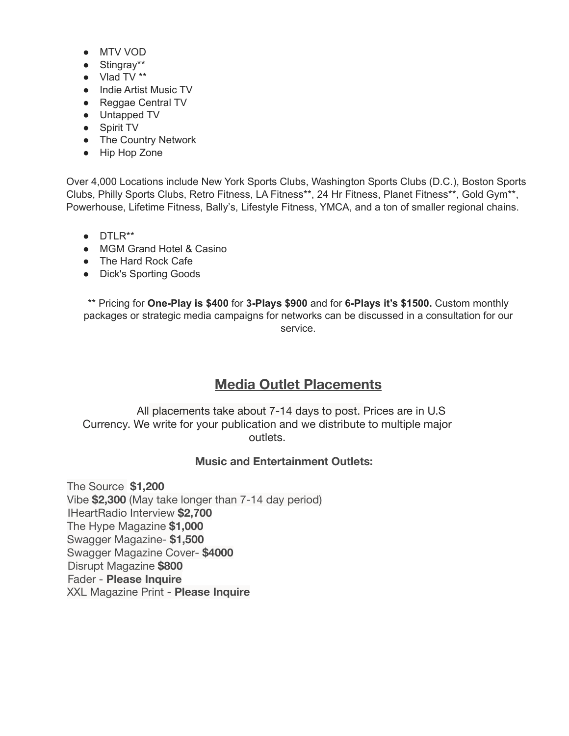- MTV VOD
- Stingray\*\*
- Vlad TV \*\*
- Indie Artist Music TV
- Reggae Central TV
- Untapped TV
- Spirit TV
- The Country Network
- Hip Hop Zone

Over 4,000 Locations include New York Sports Clubs, Washington Sports Clubs (D.C.), Boston Sports Clubs, Philly Sports Clubs, Retro Fitness, LA Fitness\*\*, 24 Hr Fitness, Planet Fitness\*\*, Gold Gym\*\*, Powerhouse, Lifetime Fitness, Bally's, Lifestyle Fitness, YMCA, and a ton of smaller regional chains.

- DTLR\*\*
- MGM Grand Hotel & Casino
- The Hard Rock Cafe
- Dick's Sporting Goods

\*\* Pricing for **One-Play is \$400** for **3-Plays \$900** and for **6-Plays it's \$1500.** Custom monthly packages or strategic media campaigns for networks can be discussed in a consultation for our service.

# **Media Outlet Placements**

All placements take about 7-14 days to post. Prices are in U.S Currency. We write for your publication and we distribute to multiple major outlets.

#### **Music and Entertainment Outlets:**

The Source **\$1,200** Vibe **\$2,300** (May take longer than 7-14 day period) IHeartRadio Interview **\$2,700** The Hype Magazine **\$1,000** Swagger Magazine- **\$1,500** Swagger Magazine Cover- **\$4000** Disrupt Magazine **\$800** Fader - **Please Inquire** XXL Magazine Print - **Please Inquire**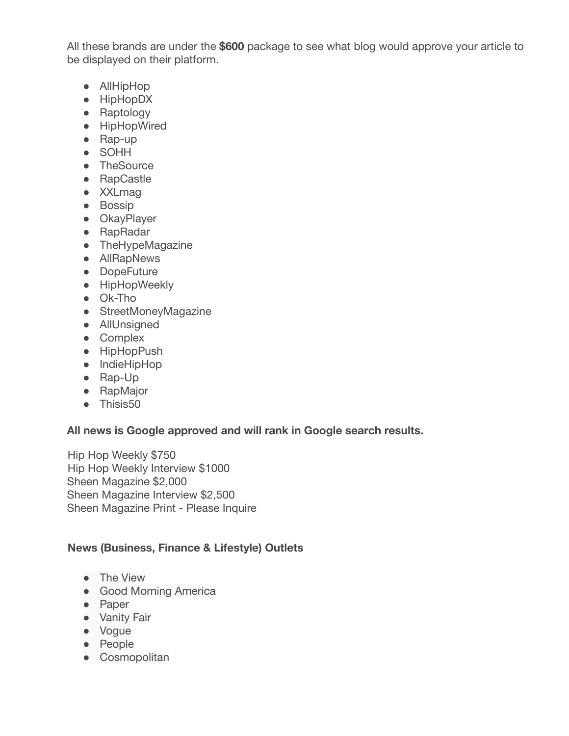All these brands are under the **\$600** package to see what blog would approve your article to be displayed on their platform.

- AllHipHop
- HipHopDX
- Raptology
- HipHopWired
- Rap-up
- SOHH
- TheSource
- RapCastle
- XXLmag
- Bossip
- OkayPlayer
- RapRadar
- TheHypeMagazine
- AllRapNews
- DopeFuture
- **•** HipHopWeekly
- Ok-Tho
- StreetMoneyMagazine
- AllUnsigned
- Complex
- HipHopPush
- IndieHipHop
- Rap-Up
- RapMajor
- Thisis50

### **All news is Google approved and will rank in Google search results.**

Hip Hop Weekly \$750 Hip Hop Weekly Interview \$1000 Sheen Magazine \$2,000 Sheen Magazine Interview \$2,500 Sheen Magazine Print - Please Inquire

## **News (Business, Finance & Lifestyle) Outlets**

- The View
- Good Morning America
- Paper
- Vanity Fair
- Vogue
- People
- Cosmopolitan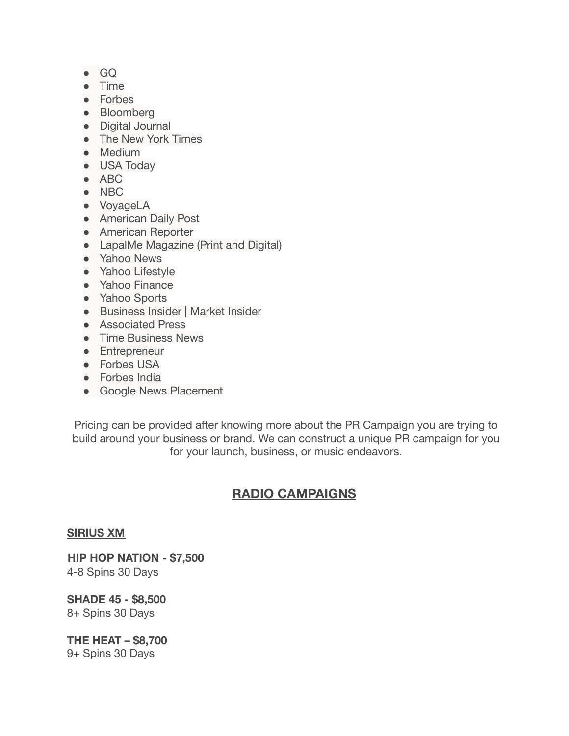- GQ
- Time
- Forbes
- Bloomberg
- Digital Journal
- The New York Times
- Medium
- USA Today
- ABC
- NBC
- VoyageLA
- American Daily Post
- American Reporter
- LapalMe Magazine (Print and Digital)
- Yahoo News
- Yahoo Lifestyle
- Yahoo Finance
- Yahoo Sports
- Business Insider | Market Insider
- Associated Press
- Time Business News
- Entrepreneur
- Forbes USA
- Forbes India
- Google News Placement

Pricing can be provided after knowing more about the PR Campaign you are trying to build around your business or brand. We can construct a unique PR campaign for you for your launch, business, or music endeavors.

## **RADIO CAMPAIGNS**

#### **SIRIUS XM**

**HIP HOP NATION - \$7,500** 4-8 Spins 30 Days

**SHADE 45 - \$8,500** 8+ Spins 30 Days

**THE HEAT – \$8,700** 9+ Spins 30 Days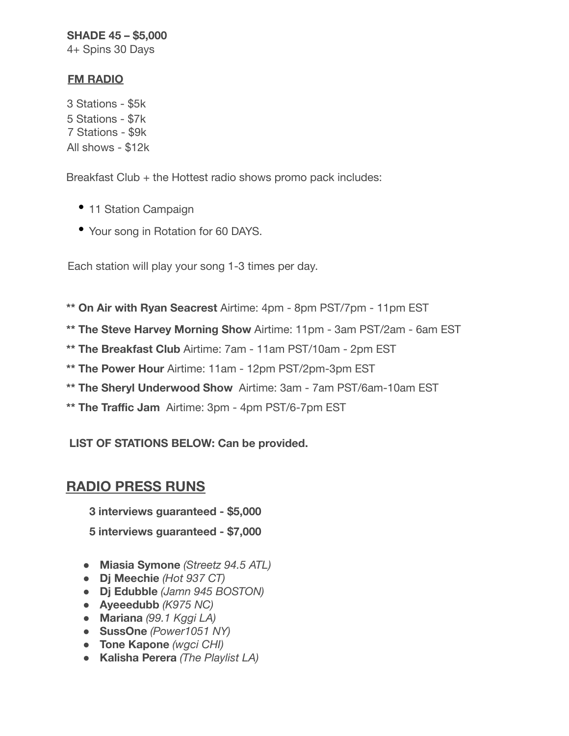### **SHADE 45 – \$5,000**

4+ Spins 30 Days

### **FM RADIO**

3 Stations - \$5k 5 Stations - \$7k 7 Stations - \$9k All shows - \$12k

Breakfast Club + the Hottest radio shows promo pack includes:

- 11 Station Campaign
- Your song in Rotation for 60 DAYS.

Each station will play your song 1-3 times per day.

- **\*\* On Air with Ryan Seacrest** Airtime: 4pm 8pm PST/7pm 11pm EST
- **\*\* The Steve Harvey Morning Show** Airtime: 11pm 3am PST/2am 6am EST
- **\*\* The Breakfast Club** Airtime: 7am 11am PST/10am 2pm EST
- **\*\* The Power Hour** Airtime: 11am 12pm PST/2pm-3pm EST
- **\*\* The Sheryl Underwood Show** Airtime: 3am 7am PST/6am-10am EST
- **\*\* The Traffic Jam** Airtime: 3pm 4pm PST/6-7pm EST

**LIST OF STATIONS BELOW: Can be provided.**

# **RADIO PRESS RUNS**

**3 interviews guaranteed - \$5,000**

**5 interviews guaranteed - \$7,000**

- **Miasia Symone** *(Streetz 94.5 ATL)*
- **Dj Meechie** *(Hot 937 CT)*
- **Dj Edubble** *(Jamn 945 BOSTON)*
- **Ayeeedubb** *(K975 NC)*
- **Mariana** *(99.1 Kggi LA)*
- **SussOne** *(Power1051 NY)*
- **Tone Kapone** *(wgci CHI)*
- **Kalisha Perera** *(The Playlist LA)*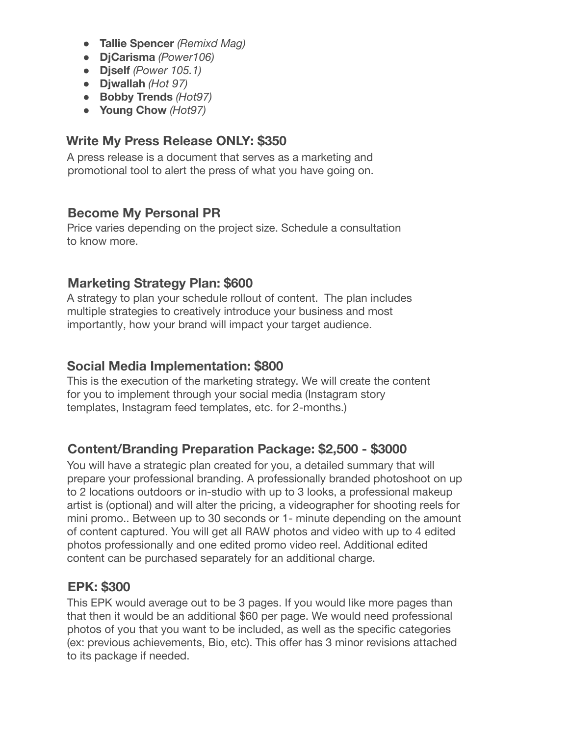- **Tallie Spencer** *(Remixd Mag)*
- **DjCarisma** *(Power106)*
- **Djself** *(Power 105.1)*
- **Djwallah** *(Hot 97)*
- **Bobby Trends** *(Hot97)*
- **Young Chow** *(Hot97)*

## **Write My Press Release ONLY: \$350**

A press release is a document that serves as a marketing and promotional tool to alert the press of what you have going on.

## **Become My Personal PR**

Price varies depending on the project size. Schedule a consultation to know more.

## **Marketing Strategy Plan: \$600**

A strategy to plan your schedule rollout of content. The plan includes multiple strategies to creatively introduce your business and most importantly, how your brand will impact your target audience.

## **Social Media Implementation: \$800**

This is the execution of the marketing strategy. We will create the content for you to implement through your social media (Instagram story templates, Instagram feed templates, etc. for 2-months.)

## **Content/Branding Preparation Package: \$2,500 - \$3000**

You will have a strategic plan created for you, a detailed summary that will prepare your professional branding. A professionally branded photoshoot on up to 2 locations outdoors or in-studio with up to 3 looks, a professional makeup artist is (optional) and will alter the pricing, a videographer for shooting reels for mini promo.. Between up to 30 seconds or 1- minute depending on the amount of content captured. You will get all RAW photos and video with up to 4 edited photos professionally and one edited promo video reel. Additional edited content can be purchased separately for an additional charge.

## **EPK: \$300**

This EPK would average out to be 3 pages. If you would like more pages than that then it would be an additional \$60 per page. We would need professional photos of you that you want to be included, as well as the specific categories (ex: previous achievements, Bio, etc). This offer has 3 minor revisions attached to its package if needed.